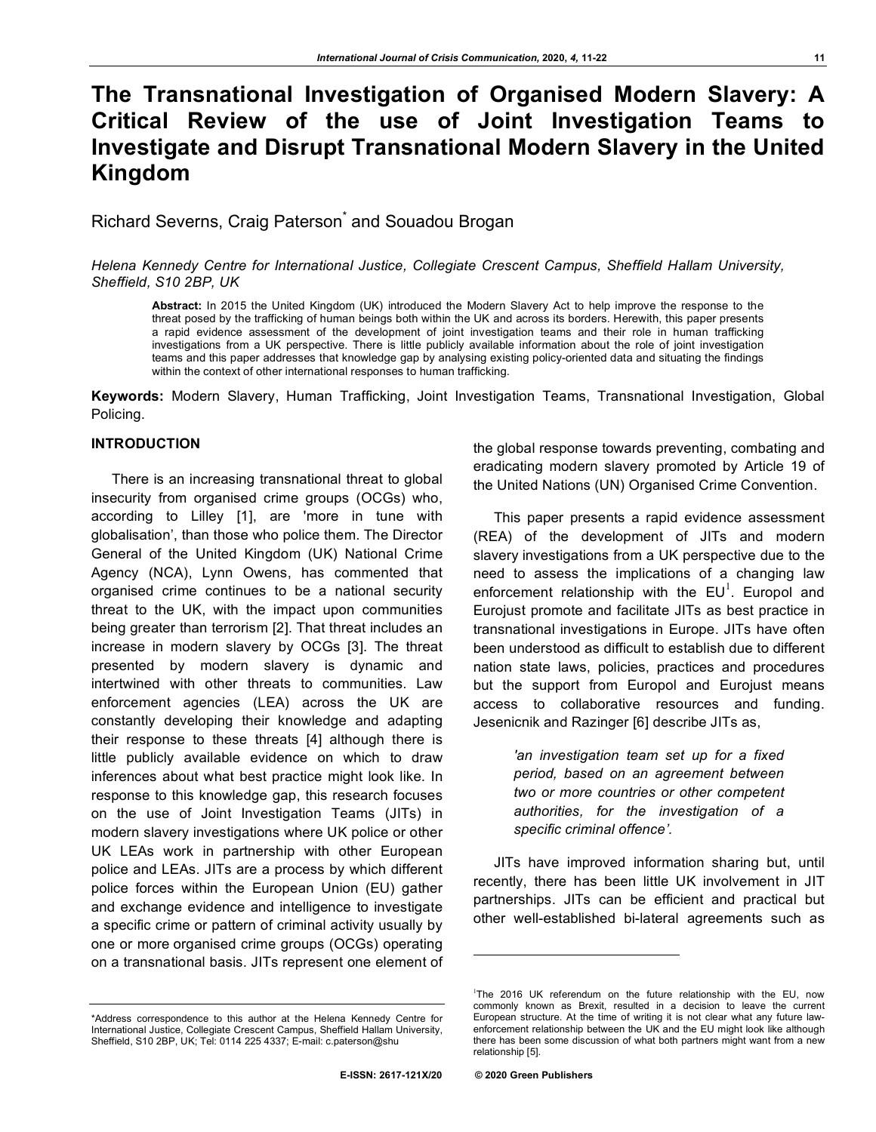# **The Transnational Investigation of Organised Modern Slavery: A Critical Review of the use of Joint Investigation Teams to Investigate and Disrupt Transnational Modern Slavery in the United Kingdom**

Richard Severns, Craig Paterson<sup>\*</sup> and Souadou Brogan

*Helena Kennedy Centre for International Justice, Collegiate Crescent Campus, Sheffield Hallam University, Sheffield, S10 2BP, UK*

**Abstract:** In 2015 the United Kingdom (UK) introduced the Modern Slavery Act to help improve the response to the threat posed by the trafficking of human beings both within the UK and across its borders. Herewith, this paper presents a rapid evidence assessment of the development of joint investigation teams and their role in human trafficking investigations from a UK perspective. There is little publicly available information about the role of joint investigation teams and this paper addresses that knowledge gap by analysing existing policy-oriented data and situating the findings within the context of other international responses to human trafficking.

**Keywords:** Modern Slavery, Human Trafficking, Joint Investigation Teams, Transnational Investigation, Global Policing.

# **INTRODUCTION**

There is an increasing transnational threat to global insecurity from organised crime groups (OCGs) who, according to Lilley [1], are 'more in tune with globalisation', than those who police them. The Director General of the United Kingdom (UK) National Crime Agency (NCA), Lynn Owens, has commented that organised crime continues to be a national security threat to the UK, with the impact upon communities being greater than terrorism [2]. That threat includes an increase in modern slavery by OCGs [3]. The threat presented by modern slavery is dynamic and intertwined with other threats to communities. Law enforcement agencies (LEA) across the UK are constantly developing their knowledge and adapting their response to these threats [4] although there is little publicly available evidence on which to draw inferences about what best practice might look like. In response to this knowledge gap, this research focuses on the use of Joint Investigation Teams (JITs) in modern slavery investigations where UK police or other UK LEAs work in partnership with other European police and LEAs. JITs are a process by which different police forces within the European Union (EU) gather and exchange evidence and intelligence to investigate a specific crime or pattern of criminal activity usually by one or more organised crime groups (OCGs) operating on a transnational basis. JITs represent one element of

This paper presents a rapid evidence assessment (REA) of the development of JITs and modern slavery investigations from a UK perspective due to the need to assess the implications of a changing law enforcement relationship with the  $EU^1$ . Europol and Eurojust promote and facilitate JITs as best practice in transnational investigations in Europe. JITs have often been understood as difficult to establish due to different nation state laws, policies, practices and procedures but the support from Europol and Eurojust means access to collaborative resources and funding. Jesenicnik and Razinger [6] describe JITs as,

> *'an investigation team set up for a fixed period, based on an agreement between two or more countries or other competent authorities, for the investigation of a specific criminal offence'.*

JITs have improved information sharing but, until recently, there has been little UK involvement in JIT partnerships. JITs can be efficient and practical but other well-established bi-lateral agreements such as

l

the global response towards preventing, combating and eradicating modern slavery promoted by Article 19 of the United Nations (UN) Organised Crime Convention.

<sup>&</sup>lt;sup>1</sup>The 2016 UK referendum on the future relationship with the EU, now commonly known as Brexit, resulted in a decision to leave the current European structure. At the time of writing it is not clear what any future lawenforcement relationship between the UK and the EU might look like although there has been some discussion of what both partners might want from a new relationship [5].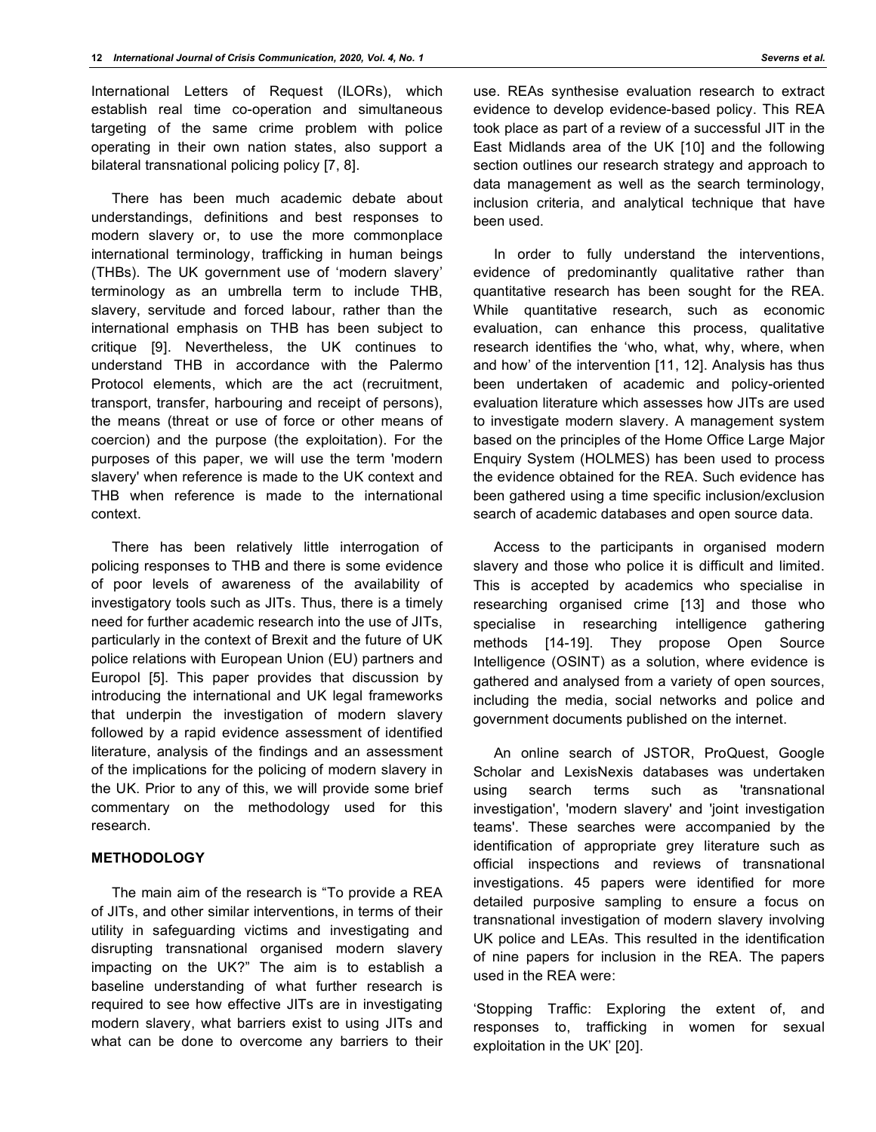International Letters of Request (ILORs), which establish real time co-operation and simultaneous targeting of the same crime problem with police operating in their own nation states, also support a bilateral transnational policing policy [7, 8].

There has been much academic debate about understandings, definitions and best responses to modern slavery or, to use the more commonplace international terminology, trafficking in human beings (THBs). The UK government use of 'modern slavery' terminology as an umbrella term to include THB, slavery, servitude and forced labour, rather than the international emphasis on THB has been subject to critique [9]. Nevertheless, the UK continues to understand THB in accordance with the Palermo Protocol elements, which are the act (recruitment, transport, transfer, harbouring and receipt of persons), the means (threat or use of force or other means of coercion) and the purpose (the exploitation). For the purposes of this paper, we will use the term 'modern slavery' when reference is made to the UK context and THB when reference is made to the international context.

There has been relatively little interrogation of policing responses to THB and there is some evidence of poor levels of awareness of the availability of investigatory tools such as JITs. Thus, there is a timely need for further academic research into the use of JITs, particularly in the context of Brexit and the future of UK police relations with European Union (EU) partners and Europol [5]. This paper provides that discussion by introducing the international and UK legal frameworks that underpin the investigation of modern slavery followed by a rapid evidence assessment of identified literature, analysis of the findings and an assessment of the implications for the policing of modern slavery in the UK. Prior to any of this, we will provide some brief commentary on the methodology used for this research.

## **METHODOLOGY**

The main aim of the research is "To provide a REA of JITs, and other similar interventions, in terms of their utility in safeguarding victims and investigating and disrupting transnational organised modern slavery impacting on the UK?" The aim is to establish a baseline understanding of what further research is required to see how effective JITs are in investigating modern slavery, what barriers exist to using JITs and what can be done to overcome any barriers to their use. REAs synthesise evaluation research to extract evidence to develop evidence-based policy. This REA took place as part of a review of a successful JIT in the East Midlands area of the UK [10] and the following section outlines our research strategy and approach to data management as well as the search terminology, inclusion criteria, and analytical technique that have been used.

In order to fully understand the interventions, evidence of predominantly qualitative rather than quantitative research has been sought for the REA. While quantitative research, such as economic evaluation, can enhance this process, qualitative research identifies the 'who, what, why, where, when and how' of the intervention [11, 12]. Analysis has thus been undertaken of academic and policy-oriented evaluation literature which assesses how JITs are used to investigate modern slavery. A management system based on the principles of the Home Office Large Major Enquiry System (HOLMES) has been used to process the evidence obtained for the REA. Such evidence has been gathered using a time specific inclusion/exclusion search of academic databases and open source data.

Access to the participants in organised modern slavery and those who police it is difficult and limited. This is accepted by academics who specialise in researching organised crime [13] and those who specialise in researching intelligence gathering methods [14-19]. They propose Open Source Intelligence (OSINT) as a solution, where evidence is gathered and analysed from a variety of open sources, including the media, social networks and police and government documents published on the internet.

An online search of JSTOR, ProQuest, Google Scholar and LexisNexis databases was undertaken using search terms such as 'transnational investigation', 'modern slavery' and 'joint investigation teams'. These searches were accompanied by the identification of appropriate grey literature such as official inspections and reviews of transnational investigations. 45 papers were identified for more detailed purposive sampling to ensure a focus on transnational investigation of modern slavery involving UK police and LEAs. This resulted in the identification of nine papers for inclusion in the REA. The papers used in the REA were:

'Stopping Traffic: Exploring the extent of, and responses to, trafficking in women for sexual exploitation in the UK' [20].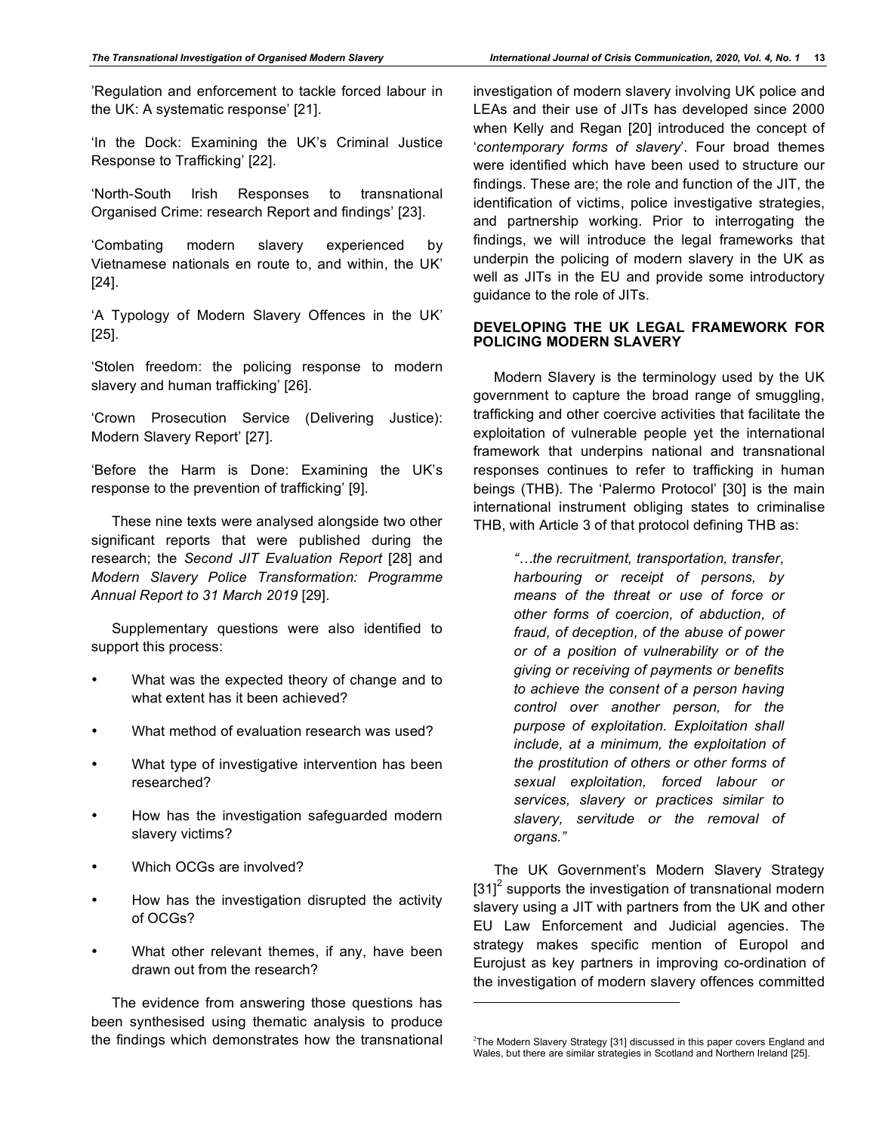'Regulation and enforcement to tackle forced labour in the UK: A systematic response' [21].

'In the Dock: Examining the UK's Criminal Justice Response to Trafficking' [22].

'North-South Irish Responses to transnational Organised Crime: research Report and findings' [23].

'Combating modern slavery experienced by Vietnamese nationals en route to, and within, the UK' [24].

'A Typology of Modern Slavery Offences in the UK' [25].

'Stolen freedom: the policing response to modern slavery and human trafficking' [26].

'Crown Prosecution Service (Delivering Justice): Modern Slavery Report' [27].

'Before the Harm is Done: Examining the UK's response to the prevention of trafficking' [9].

These nine texts were analysed alongside two other significant reports that were published during the research; the *Second JIT Evaluation Report* [28] and *Modern Slavery Police Transformation: Programme Annual Report to 31 March 2019* [29].

Supplementary questions were also identified to support this process:

- What was the expected theory of change and to what extent has it been achieved?
- What method of evaluation research was used?
- What type of investigative intervention has been researched?
- How has the investigation safeguarded modern slavery victims?
- Which OCGs are involved?
- How has the investigation disrupted the activity of OCGs?
- What other relevant themes, if any, have been drawn out from the research?

The evidence from answering those questions has been synthesised using thematic analysis to produce the findings which demonstrates how the transnational investigation of modern slavery involving UK police and LEAs and their use of JITs has developed since 2000 when Kelly and Regan [20] introduced the concept of '*contemporary forms of slavery*'. Four broad themes were identified which have been used to structure our findings. These are; the role and function of the JIT, the identification of victims, police investigative strategies, and partnership working. Prior to interrogating the findings, we will introduce the legal frameworks that underpin the policing of modern slavery in the UK as well as JITs in the EU and provide some introductory guidance to the role of JITs.

## **DEVELOPING THE UK LEGAL FRAMEWORK FOR POLICING MODERN SLAVERY**

Modern Slavery is the terminology used by the UK government to capture the broad range of smuggling, trafficking and other coercive activities that facilitate the exploitation of vulnerable people yet the international framework that underpins national and transnational responses continues to refer to trafficking in human beings (THB). The 'Palermo Protocol' [30] is the main international instrument obliging states to criminalise THB, with Article 3 of that protocol defining THB as:

> *"…the recruitment, transportation, transfer, harbouring or receipt of persons, by means of the threat or use of force or other forms of coercion, of abduction, of fraud, of deception, of the abuse of power or of a position of vulnerability or of the giving or receiving of payments or benefits to achieve the consent of a person having control over another person, for the purpose of exploitation. Exploitation shall include, at a minimum, the exploitation of the prostitution of others or other forms of sexual exploitation, forced labour or services, slavery or practices similar to slavery, servitude or the removal of organs."*

The UK Government's Modern Slavery Strategy [31]<sup>2</sup> supports the investigation of transnational modern slavery using a JIT with partners from the UK and other EU Law Enforcement and Judicial agencies. The strategy makes specific mention of Europol and Eurojust as key partners in improving co-ordination of the investigation of modern slavery offences committed

l

 $2$ The Modern Slavery Strategy [31] discussed in this paper covers England and Wales, but there are similar strategies in Scotland and Northern Ireland [25].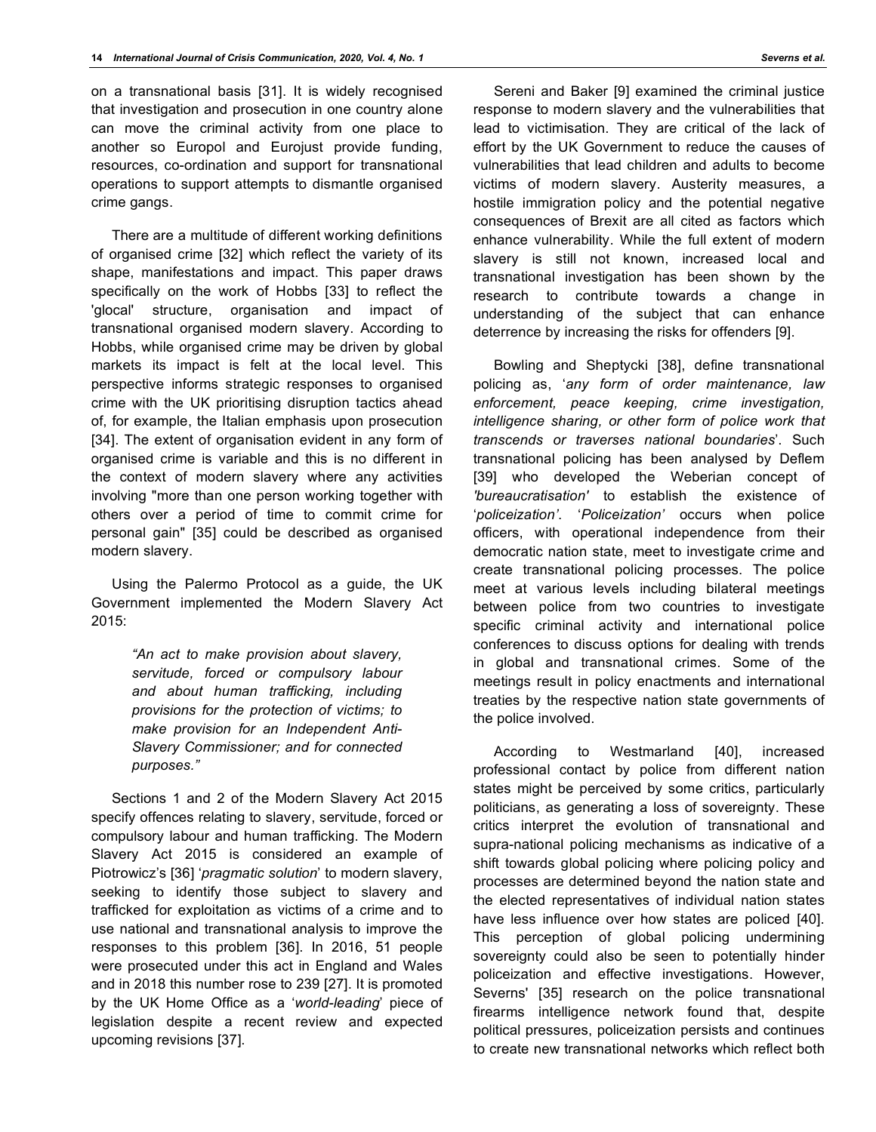on a transnational basis [31]. It is widely recognised that investigation and prosecution in one country alone can move the criminal activity from one place to another so Europol and Eurojust provide funding, resources, co-ordination and support for transnational operations to support attempts to dismantle organised crime gangs.

There are a multitude of different working definitions of organised crime [32] which reflect the variety of its shape, manifestations and impact. This paper draws specifically on the work of Hobbs [33] to reflect the 'glocal' structure, organisation and impact of transnational organised modern slavery. According to Hobbs, while organised crime may be driven by global markets its impact is felt at the local level. This perspective informs strategic responses to organised crime with the UK prioritising disruption tactics ahead of, for example, the Italian emphasis upon prosecution [34]. The extent of organisation evident in any form of organised crime is variable and this is no different in the context of modern slavery where any activities involving "more than one person working together with others over a period of time to commit crime for personal gain" [35] could be described as organised modern slavery.

Using the Palermo Protocol as a guide, the UK Government implemented the Modern Slavery Act 2015:

> *"An act to make provision about slavery, servitude, forced or compulsory labour and about human trafficking, including provisions for the protection of victims; to make provision for an Independent Anti-Slavery Commissioner; and for connected purposes."*

Sections 1 and 2 of the Modern Slavery Act 2015 specify offences relating to slavery, servitude, forced or compulsory labour and human trafficking. The Modern Slavery Act 2015 is considered an example of Piotrowicz's [36] '*pragmatic solution*' to modern slavery, seeking to identify those subject to slavery and trafficked for exploitation as victims of a crime and to use national and transnational analysis to improve the responses to this problem [36]. In 2016, 51 people were prosecuted under this act in England and Wales and in 2018 this number rose to 239 [27]. It is promoted by the UK Home Office as a '*world-leading*' piece of legislation despite a recent review and expected upcoming revisions [37].

Sereni and Baker [9] examined the criminal justice response to modern slavery and the vulnerabilities that lead to victimisation. They are critical of the lack of effort by the UK Government to reduce the causes of vulnerabilities that lead children and adults to become victims of modern slavery. Austerity measures, a hostile immigration policy and the potential negative consequences of Brexit are all cited as factors which enhance vulnerability. While the full extent of modern slavery is still not known, increased local and transnational investigation has been shown by the research to contribute towards a change in understanding of the subject that can enhance deterrence by increasing the risks for offenders [9].

Bowling and Sheptycki [38], define transnational policing as, '*any form of order maintenance, law enforcement, peace keeping, crime investigation, intelligence sharing, or other form of police work that transcends or traverses national boundaries*'. Such transnational policing has been analysed by Deflem [39] who developed the Weberian concept of *'bureaucratisation'* to establish the existence of '*policeization'*. '*Policeization'* occurs when police officers, with operational independence from their democratic nation state, meet to investigate crime and create transnational policing processes. The police meet at various levels including bilateral meetings between police from two countries to investigate specific criminal activity and international police conferences to discuss options for dealing with trends in global and transnational crimes. Some of the meetings result in policy enactments and international treaties by the respective nation state governments of the police involved.

According to Westmarland [40], increased professional contact by police from different nation states might be perceived by some critics, particularly politicians, as generating a loss of sovereignty. These critics interpret the evolution of transnational and supra-national policing mechanisms as indicative of a shift towards global policing where policing policy and processes are determined beyond the nation state and the elected representatives of individual nation states have less influence over how states are policed [40]. This perception of global policing undermining sovereignty could also be seen to potentially hinder policeization and effective investigations. However, Severns' [35] research on the police transnational firearms intelligence network found that, despite political pressures, policeization persists and continues to create new transnational networks which reflect both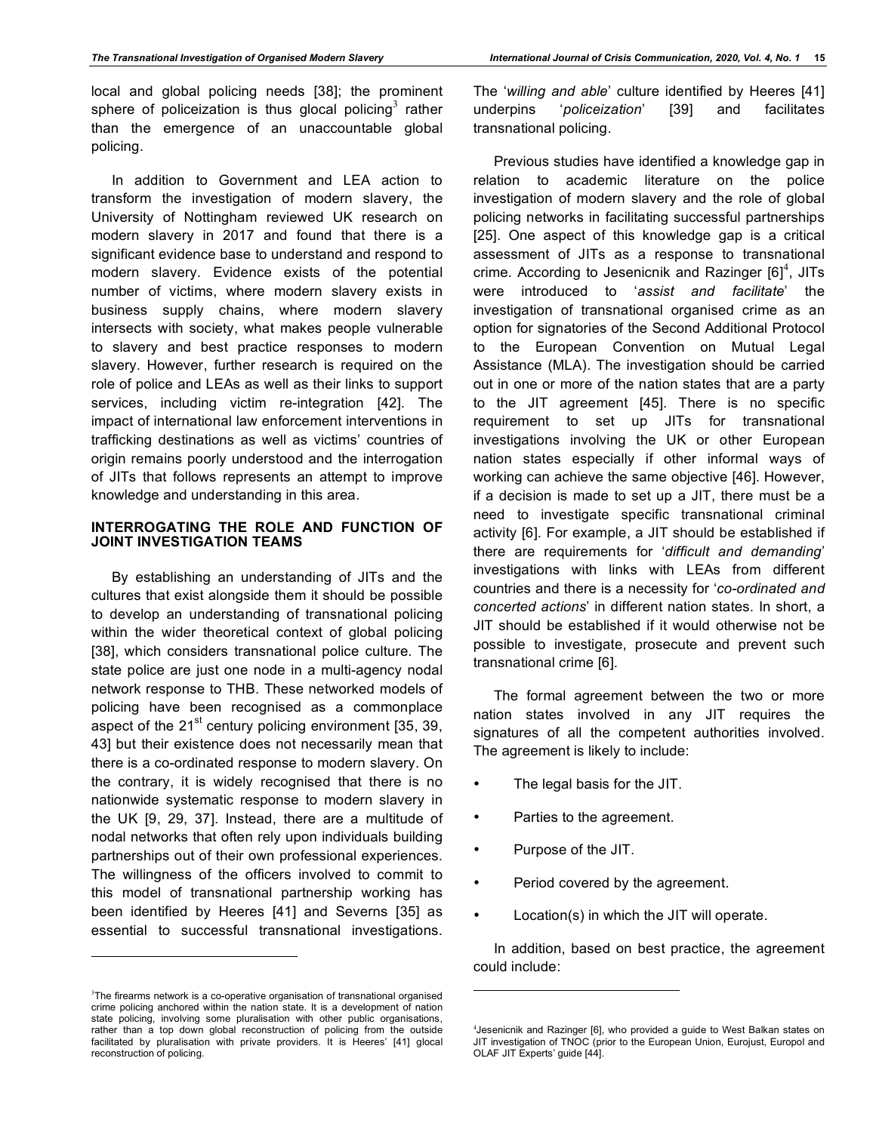local and global policing needs [38]; the prominent sphere of policeization is thus glocal policing<sup>3</sup> rather than the emergence of an unaccountable global policing.

In addition to Government and LEA action to transform the investigation of modern slavery, the University of Nottingham reviewed UK research on modern slavery in 2017 and found that there is a significant evidence base to understand and respond to modern slavery. Evidence exists of the potential number of victims, where modern slavery exists in business supply chains, where modern slavery intersects with society, what makes people vulnerable to slavery and best practice responses to modern slavery. However, further research is required on the role of police and LEAs as well as their links to support services, including victim re-integration [42]. The impact of international law enforcement interventions in trafficking destinations as well as victims' countries of origin remains poorly understood and the interrogation of JITs that follows represents an attempt to improve knowledge and understanding in this area.

# **INTERROGATING THE ROLE AND FUNCTION OF JOINT INVESTIGATION TEAMS**

By establishing an understanding of JITs and the cultures that exist alongside them it should be possible to develop an understanding of transnational policing within the wider theoretical context of global policing [38], which considers transnational police culture. The state police are just one node in a multi-agency nodal network response to THB. These networked models of policing have been recognised as a commonplace aspect of the  $21<sup>st</sup>$  century policing environment [35, 39, 43] but their existence does not necessarily mean that there is a co-ordinated response to modern slavery. On the contrary, it is widely recognised that there is no nationwide systematic response to modern slavery in the UK [9, 29, 37]. Instead, there are a multitude of nodal networks that often rely upon individuals building partnerships out of their own professional experiences. The willingness of the officers involved to commit to this model of transnational partnership working has been identified by Heeres [41] and Severns [35] as essential to successful transnational investigations.

 $\overline{a}$ 

The '*willing and able*' culture identified by Heeres [41] underpins '*policeization*' [39] and facilitates transnational policing.

Previous studies have identified a knowledge gap in relation to academic literature on the police investigation of modern slavery and the role of global policing networks in facilitating successful partnerships [25]. One aspect of this knowledge gap is a critical assessment of JITs as a response to transnational crime. According to Jesenicnik and Razinger  $[6]^4$ , JITs were introduced to '*assist and facilitate*' the investigation of transnational organised crime as an option for signatories of the Second Additional Protocol to the European Convention on Mutual Legal Assistance (MLA). The investigation should be carried out in one or more of the nation states that are a party to the JIT agreement [45]. There is no specific requirement to set up JITs for transnational investigations involving the UK or other European nation states especially if other informal ways of working can achieve the same objective [46]. However, if a decision is made to set up a JIT, there must be a need to investigate specific transnational criminal activity [6]. For example, a JIT should be established if there are requirements for '*difficult and demanding*' investigations with links with LEAs from different countries and there is a necessity for '*co-ordinated and concerted actions*' in different nation states. In short, a JIT should be established if it would otherwise not be possible to investigate, prosecute and prevent such transnational crime [6].

The formal agreement between the two or more nation states involved in any JIT requires the signatures of all the competent authorities involved. The agreement is likely to include:

- The legal basis for the JIT.
- Parties to the agreement.
- Purpose of the JIT.

 $\overline{a}$ 

- Period covered by the agreement.
- Location(s) in which the JIT will operate.

In addition, based on best practice, the agreement could include:

<sup>&</sup>lt;sup>3</sup>The firearms network is a co-operative organisation of transnational organised crime policing anchored within the nation state. It is a development of nation state policing, involving some pluralisation with other public organisations, rather than a top down global reconstruction of policing from the outside facilitated by pluralisation with private providers. It is Heeres' [41] glocal reconstruction of policing.

<sup>4</sup> Jesenicnik and Razinger [6], who provided a guide to West Balkan states on JIT investigation of TNOC (prior to the European Union, Eurojust, Europol and OLAF JIT Experts' guide [44].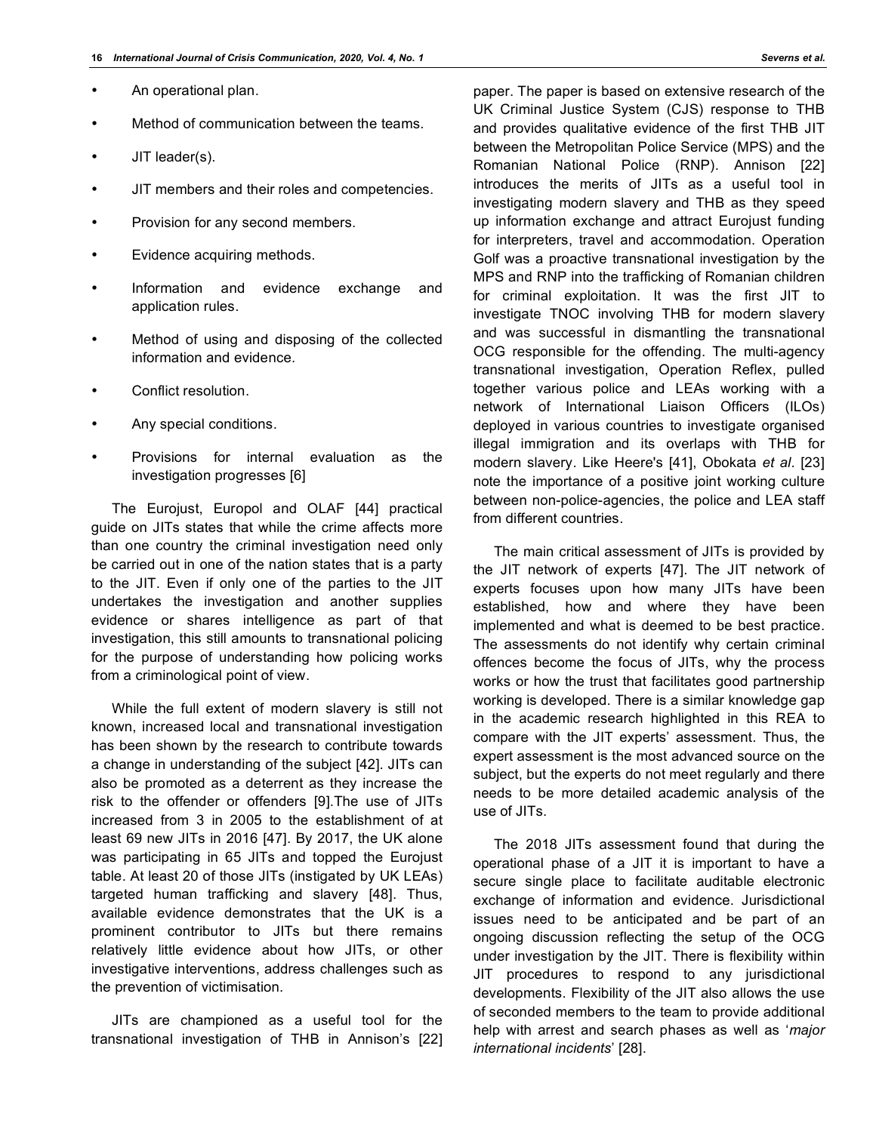- An operational plan.
- Method of communication between the teams.
- JIT leader(s).
- JIT members and their roles and competencies.
- Provision for any second members.
- Evidence acquiring methods.
- Information and evidence exchange and application rules.
- Method of using and disposing of the collected information and evidence.
- Conflict resolution.
- Any special conditions.
- Provisions for internal evaluation as the investigation progresses [6]

The Eurojust, Europol and OLAF [44] practical guide on JITs states that while the crime affects more than one country the criminal investigation need only be carried out in one of the nation states that is a party to the JIT. Even if only one of the parties to the JIT undertakes the investigation and another supplies evidence or shares intelligence as part of that investigation, this still amounts to transnational policing for the purpose of understanding how policing works from a criminological point of view.

While the full extent of modern slavery is still not known, increased local and transnational investigation has been shown by the research to contribute towards a change in understanding of the subject [42]. JITs can also be promoted as a deterrent as they increase the risk to the offender or offenders [9].The use of JITs increased from 3 in 2005 to the establishment of at least 69 new JITs in 2016 [47]. By 2017, the UK alone was participating in 65 JITs and topped the Eurojust table. At least 20 of those JITs (instigated by UK LEAs) targeted human trafficking and slavery [48]. Thus, available evidence demonstrates that the UK is a prominent contributor to JITs but there remains relatively little evidence about how JITs, or other investigative interventions, address challenges such as the prevention of victimisation.

JITs are championed as a useful tool for the transnational investigation of THB in Annison's [22] paper. The paper is based on extensive research of the UK Criminal Justice System (CJS) response to THB and provides qualitative evidence of the first THB JIT between the Metropolitan Police Service (MPS) and the Romanian National Police (RNP). Annison [22] introduces the merits of JITs as a useful tool in investigating modern slavery and THB as they speed up information exchange and attract Eurojust funding for interpreters, travel and accommodation. Operation Golf was a proactive transnational investigation by the MPS and RNP into the trafficking of Romanian children for criminal exploitation. It was the first JIT to investigate TNOC involving THB for modern slavery and was successful in dismantling the transnational OCG responsible for the offending. The multi-agency transnational investigation, Operation Reflex, pulled together various police and LEAs working with a network of International Liaison Officers (ILOs) deployed in various countries to investigate organised illegal immigration and its overlaps with THB for modern slavery. Like Heere's [41], Obokata *et al*. [23] note the importance of a positive joint working culture between non-police-agencies, the police and LEA staff from different countries.

The main critical assessment of JITs is provided by the JIT network of experts [47]. The JIT network of experts focuses upon how many JITs have been established, how and where they have been implemented and what is deemed to be best practice. The assessments do not identify why certain criminal offences become the focus of JITs, why the process works or how the trust that facilitates good partnership working is developed. There is a similar knowledge gap in the academic research highlighted in this REA to compare with the JIT experts' assessment. Thus, the expert assessment is the most advanced source on the subject, but the experts do not meet regularly and there needs to be more detailed academic analysis of the use of JITs.

The 2018 JITs assessment found that during the operational phase of a JIT it is important to have a secure single place to facilitate auditable electronic exchange of information and evidence. Jurisdictional issues need to be anticipated and be part of an ongoing discussion reflecting the setup of the OCG under investigation by the JIT. There is flexibility within JIT procedures to respond to any jurisdictional developments. Flexibility of the JIT also allows the use of seconded members to the team to provide additional help with arrest and search phases as well as '*major international incidents*' [28].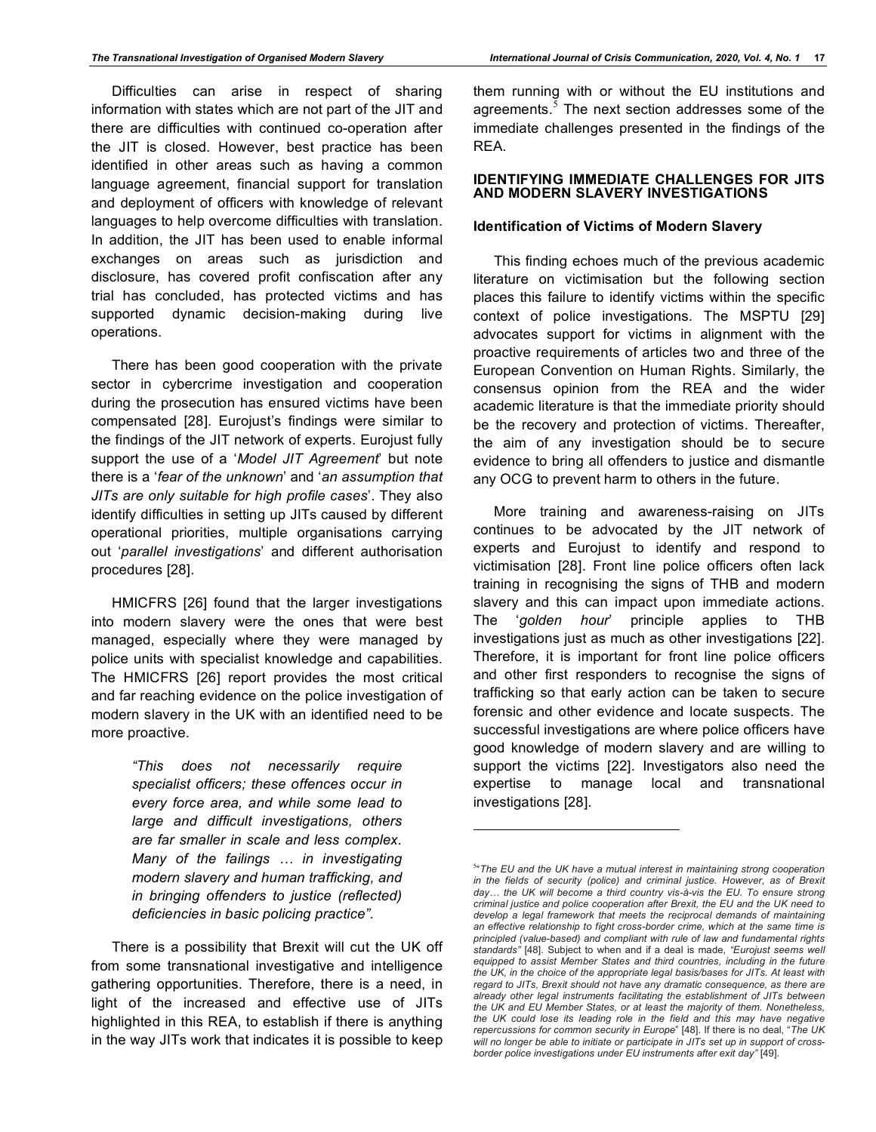Difficulties can arise in respect of sharing information with states which are not part of the JIT and there are difficulties with continued co-operation after the JIT is closed. However, best practice has been identified in other areas such as having a common language agreement, financial support for translation and deployment of officers with knowledge of relevant languages to help overcome difficulties with translation. In addition, the JIT has been used to enable informal exchanges on areas such as jurisdiction and disclosure, has covered profit confiscation after any trial has concluded, has protected victims and has supported dynamic decision-making during live operations.

There has been good cooperation with the private sector in cybercrime investigation and cooperation during the prosecution has ensured victims have been compensated [28]. Eurojust's findings were similar to the findings of the JIT network of experts. Eurojust fully support the use of a '*Model JIT Agreement*' but note there is a '*fear of the unknown*' and '*an assumption that JITs are only suitable for high profile cases*'. They also identify difficulties in setting up JITs caused by different operational priorities, multiple organisations carrying out '*parallel investigations*' and different authorisation procedures [28].

HMICFRS [26] found that the larger investigations into modern slavery were the ones that were best managed, especially where they were managed by police units with specialist knowledge and capabilities. The HMICFRS [26] report provides the most critical and far reaching evidence on the police investigation of modern slavery in the UK with an identified need to be more proactive.

> *"This does not necessarily require specialist officers; these offences occur in every force area, and while some lead to large and difficult investigations, others are far smaller in scale and less complex. Many of the failings … in investigating modern slavery and human trafficking, and in bringing offenders to justice (reflected) deficiencies in basic policing practice".*

There is a possibility that Brexit will cut the UK off from some transnational investigative and intelligence gathering opportunities. Therefore, there is a need, in light of the increased and effective use of JITs highlighted in this REA, to establish if there is anything in the way JITs work that indicates it is possible to keep them running with or without the EU institutions and agreements. $<sup>5</sup>$  The next section addresses some of the</sup> immediate challenges presented in the findings of the REA.

#### **IDENTIFYING IMMEDIATE CHALLENGES FOR JITS AND MODERN SLAVERY INVESTIGATIONS**

# **Identification of Victims of Modern Slavery**

This finding echoes much of the previous academic literature on victimisation but the following section places this failure to identify victims within the specific context of police investigations. The MSPTU [29] advocates support for victims in alignment with the proactive requirements of articles two and three of the European Convention on Human Rights. Similarly, the consensus opinion from the REA and the wider academic literature is that the immediate priority should be the recovery and protection of victims. Thereafter, the aim of any investigation should be to secure evidence to bring all offenders to justice and dismantle any OCG to prevent harm to others in the future.

More training and awareness-raising on JITs continues to be advocated by the JIT network of experts and Eurojust to identify and respond to victimisation [28]. Front line police officers often lack training in recognising the signs of THB and modern slavery and this can impact upon immediate actions. The '*golden hour*' principle applies to THB investigations just as much as other investigations [22]. Therefore, it is important for front line police officers and other first responders to recognise the signs of trafficking so that early action can be taken to secure forensic and other evidence and locate suspects. The successful investigations are where police officers have good knowledge of modern slavery and are willing to support the victims [22]. Investigators also need the expertise to manage local and transnational investigations [28].

l

<sup>5</sup> "*The EU and the UK have a mutual interest in maintaining strong cooperation in the fields of security (police) and criminal justice. However, as of Brexit day… the UK will become a third country vis-à-vis the EU. To ensure strong criminal justice and police cooperation after Brexit, the EU and the UK need to develop a legal framework that meets the reciprocal demands of maintaining an effective relationship to fight cross-border crime, which at the same time is principled (value-based) and compliant with rule of law and fundamental rights standards"* [48]. Subject to when and if a deal is made, *"Eurojust seems well equipped to assist Member States and third countries, including in the future the UK, in the choice of the appropriate legal basis/bases for JITs. At least with regard to JITs, Brexit should not have any dramatic consequence, as there are already other legal instruments facilitating the establishment of JITs between the UK and EU Member States, or at least the majority of them. Nonetheless, the UK could lose its leading role in the field and this may have negative repercussions for common security in Europe*" [48]. If there is no deal, "*The UK will no longer be able to initiate or participate in JITs set up in support of crossborder police investigations under EU instruments after exit day"* [49].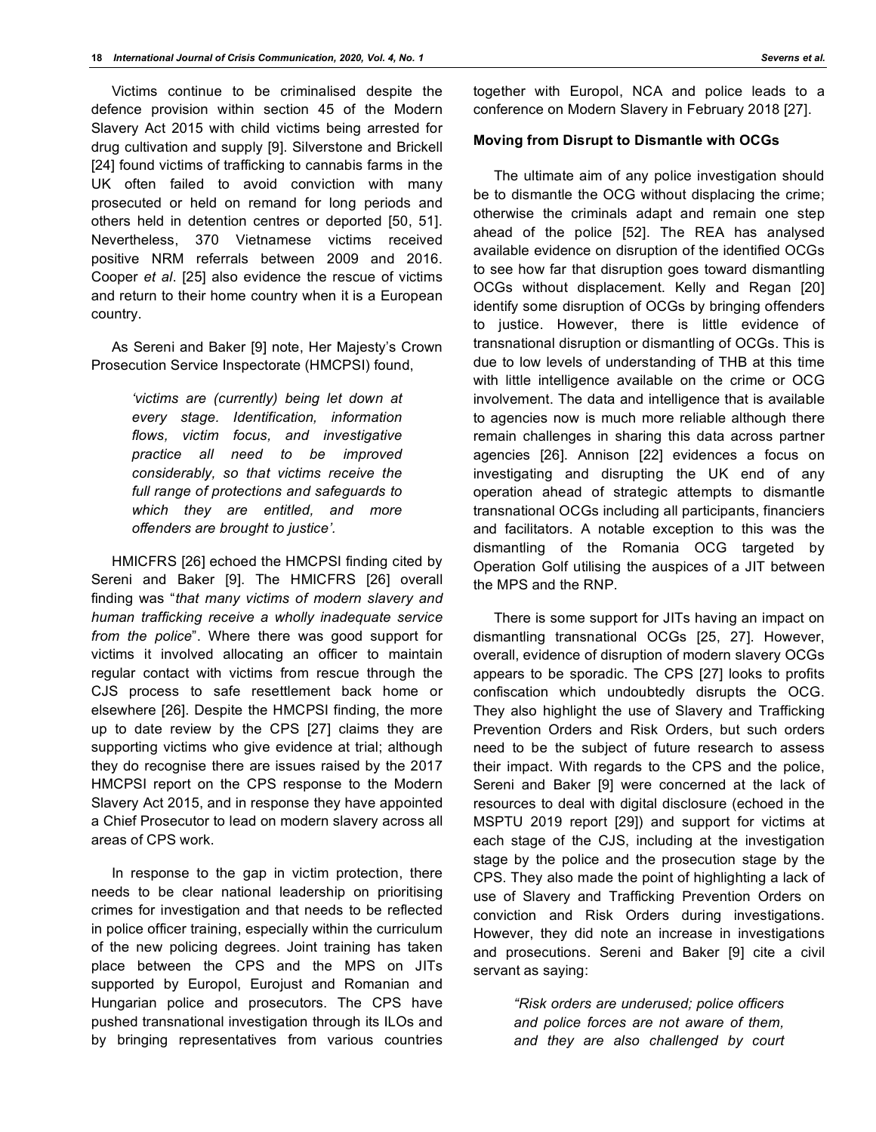Victims continue to be criminalised despite the defence provision within section 45 of the Modern Slavery Act 2015 with child victims being arrested for drug cultivation and supply [9]. Silverstone and Brickell [24] found victims of trafficking to cannabis farms in the UK often failed to avoid conviction with many prosecuted or held on remand for long periods and others held in detention centres or deported [50, 51]. Nevertheless, 370 Vietnamese victims received positive NRM referrals between 2009 and 2016. Cooper *et al*. [25] also evidence the rescue of victims and return to their home country when it is a European country.

As Sereni and Baker [9] note, Her Majesty's Crown Prosecution Service Inspectorate (HMCPSI) found,

> *'victims are (currently) being let down at every stage. Identification, information flows, victim focus, and investigative practice all need to be improved considerably, so that victims receive the full range of protections and safeguards to which they are entitled, and more offenders are brought to justice'.*

HMICFRS [26] echoed the HMCPSI finding cited by Sereni and Baker [9]. The HMICFRS [26] overall finding was "*that many victims of modern slavery and human trafficking receive a wholly inadequate service from the police*". Where there was good support for victims it involved allocating an officer to maintain regular contact with victims from rescue through the CJS process to safe resettlement back home or elsewhere [26]. Despite the HMCPSI finding, the more up to date review by the CPS [27] claims they are supporting victims who give evidence at trial; although they do recognise there are issues raised by the 2017 HMCPSI report on the CPS response to the Modern Slavery Act 2015, and in response they have appointed a Chief Prosecutor to lead on modern slavery across all areas of CPS work.

In response to the gap in victim protection, there needs to be clear national leadership on prioritising crimes for investigation and that needs to be reflected in police officer training, especially within the curriculum of the new policing degrees. Joint training has taken place between the CPS and the MPS on JITs supported by Europol, Eurojust and Romanian and Hungarian police and prosecutors. The CPS have pushed transnational investigation through its ILOs and by bringing representatives from various countries

together with Europol, NCA and police leads to a conference on Modern Slavery in February 2018 [27].

## **Moving from Disrupt to Dismantle with OCGs**

The ultimate aim of any police investigation should be to dismantle the OCG without displacing the crime; otherwise the criminals adapt and remain one step ahead of the police [52]. The REA has analysed available evidence on disruption of the identified OCGs to see how far that disruption goes toward dismantling OCGs without displacement. Kelly and Regan [20] identify some disruption of OCGs by bringing offenders to justice. However, there is little evidence of transnational disruption or dismantling of OCGs. This is due to low levels of understanding of THB at this time with little intelligence available on the crime or OCG involvement. The data and intelligence that is available to agencies now is much more reliable although there remain challenges in sharing this data across partner agencies [26]. Annison [22] evidences a focus on investigating and disrupting the UK end of any operation ahead of strategic attempts to dismantle transnational OCGs including all participants, financiers and facilitators. A notable exception to this was the dismantling of the Romania OCG targeted by Operation Golf utilising the auspices of a JIT between the MPS and the RNP.

There is some support for JITs having an impact on dismantling transnational OCGs [25, 27]. However, overall, evidence of disruption of modern slavery OCGs appears to be sporadic. The CPS [27] looks to profits confiscation which undoubtedly disrupts the OCG. They also highlight the use of Slavery and Trafficking Prevention Orders and Risk Orders, but such orders need to be the subject of future research to assess their impact. With regards to the CPS and the police, Sereni and Baker [9] were concerned at the lack of resources to deal with digital disclosure (echoed in the MSPTU 2019 report [29]) and support for victims at each stage of the CJS, including at the investigation stage by the police and the prosecution stage by the CPS. They also made the point of highlighting a lack of use of Slavery and Trafficking Prevention Orders on conviction and Risk Orders during investigations. However, they did note an increase in investigations and prosecutions. Sereni and Baker [9] cite a civil servant as saying:

> *"Risk orders are underused; police officers and police forces are not aware of them, and they are also challenged by court*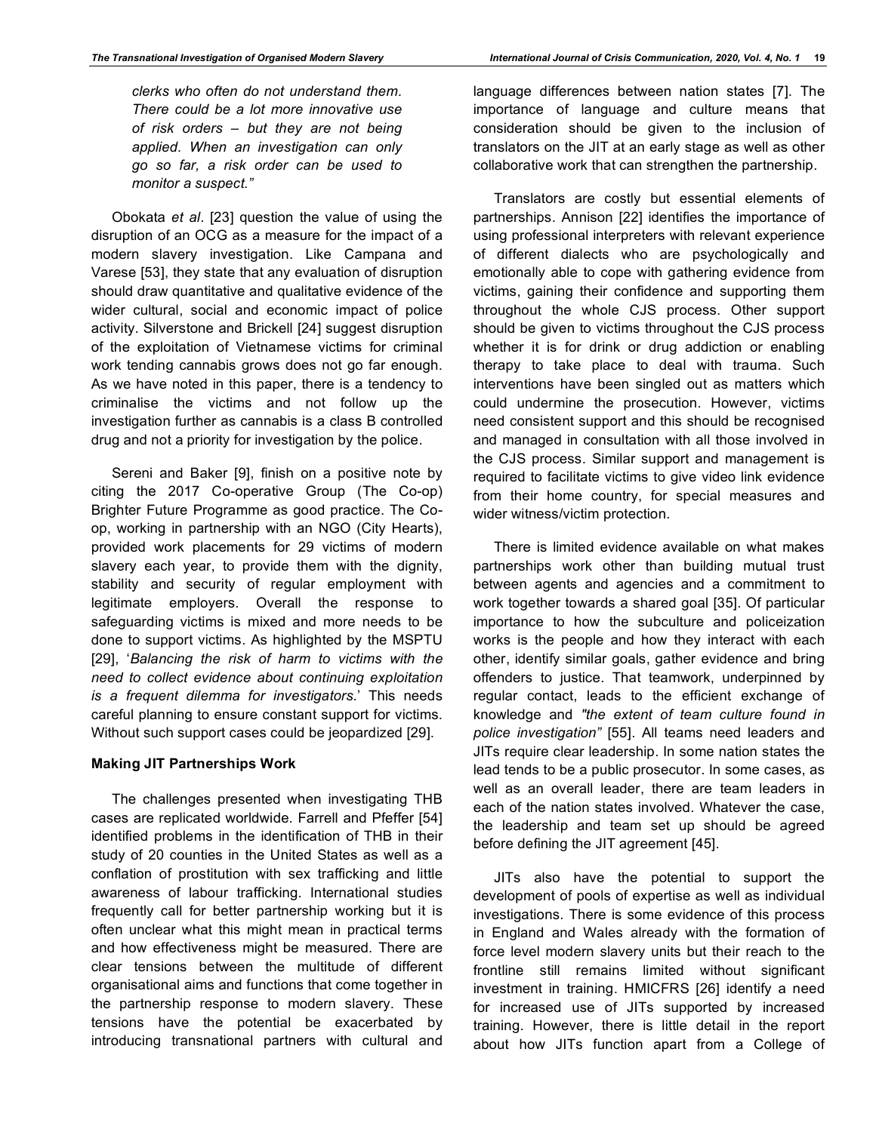*clerks who often do not understand them. There could be a lot more innovative use of risk orders – but they are not being applied. When an investigation can only go so far, a risk order can be used to monitor a suspect."*

Obokata *et al*. [23] question the value of using the disruption of an OCG as a measure for the impact of a modern slavery investigation. Like Campana and Varese [53], they state that any evaluation of disruption should draw quantitative and qualitative evidence of the wider cultural, social and economic impact of police activity. Silverstone and Brickell [24] suggest disruption of the exploitation of Vietnamese victims for criminal work tending cannabis grows does not go far enough. As we have noted in this paper, there is a tendency to criminalise the victims and not follow up the investigation further as cannabis is a class B controlled drug and not a priority for investigation by the police.

Sereni and Baker [9], finish on a positive note by citing the 2017 Co-operative Group (The Co-op) Brighter Future Programme as good practice. The Coop, working in partnership with an NGO (City Hearts), provided work placements for 29 victims of modern slavery each year, to provide them with the dignity, stability and security of regular employment with legitimate employers. Overall the response to safeguarding victims is mixed and more needs to be done to support victims. As highlighted by the MSPTU [29], '*Balancing the risk of harm to victims with the need to collect evidence about continuing exploitation is a frequent dilemma for investigators*.' This needs careful planning to ensure constant support for victims. Without such support cases could be jeopardized [29].

#### **Making JIT Partnerships Work**

The challenges presented when investigating THB cases are replicated worldwide. Farrell and Pfeffer [54] identified problems in the identification of THB in their study of 20 counties in the United States as well as a conflation of prostitution with sex trafficking and little awareness of labour trafficking. International studies frequently call for better partnership working but it is often unclear what this might mean in practical terms and how effectiveness might be measured. There are clear tensions between the multitude of different organisational aims and functions that come together in the partnership response to modern slavery. These tensions have the potential be exacerbated by introducing transnational partners with cultural and language differences between nation states [7]. The importance of language and culture means that consideration should be given to the inclusion of translators on the JIT at an early stage as well as other collaborative work that can strengthen the partnership.

Translators are costly but essential elements of partnerships. Annison [22] identifies the importance of using professional interpreters with relevant experience of different dialects who are psychologically and emotionally able to cope with gathering evidence from victims, gaining their confidence and supporting them throughout the whole CJS process. Other support should be given to victims throughout the CJS process whether it is for drink or drug addiction or enabling therapy to take place to deal with trauma. Such interventions have been singled out as matters which could undermine the prosecution. However, victims need consistent support and this should be recognised and managed in consultation with all those involved in the CJS process. Similar support and management is required to facilitate victims to give video link evidence from their home country, for special measures and wider witness/victim protection.

There is limited evidence available on what makes partnerships work other than building mutual trust between agents and agencies and a commitment to work together towards a shared goal [35]. Of particular importance to how the subculture and policeization works is the people and how they interact with each other, identify similar goals, gather evidence and bring offenders to justice. That teamwork, underpinned by regular contact, leads to the efficient exchange of knowledge and *"the extent of team culture found in police investigation"* [55]. All teams need leaders and JITs require clear leadership. In some nation states the lead tends to be a public prosecutor. In some cases, as well as an overall leader, there are team leaders in each of the nation states involved. Whatever the case, the leadership and team set up should be agreed before defining the JIT agreement [45].

JITs also have the potential to support the development of pools of expertise as well as individual investigations. There is some evidence of this process in England and Wales already with the formation of force level modern slavery units but their reach to the frontline still remains limited without significant investment in training. HMICFRS [26] identify a need for increased use of JITs supported by increased training. However, there is little detail in the report about how JITs function apart from a College of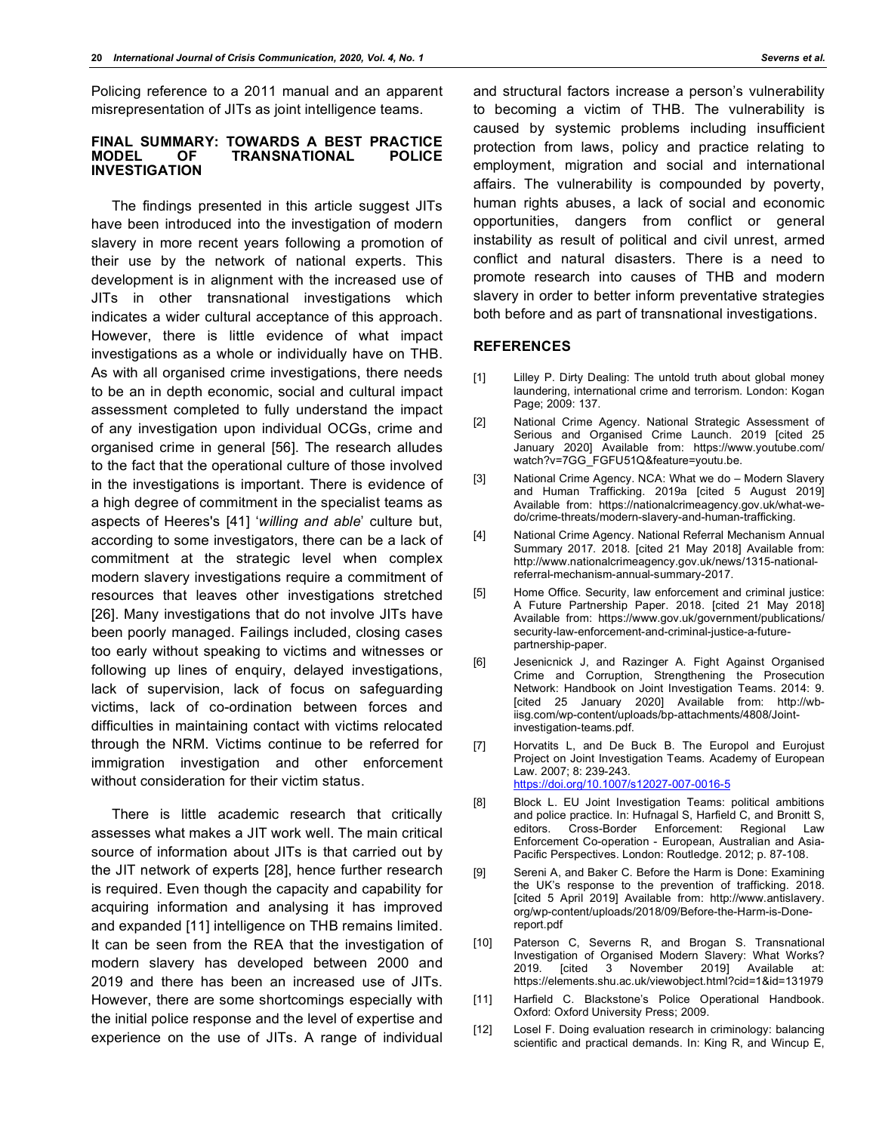Policing reference to a 2011 manual and an apparent misrepresentation of JITs as joint intelligence teams.

#### **FINAL SUMMARY: TOWARDS A BEST PRACTICE TRANSNATIONAL INVESTIGATION**

The findings presented in this article suggest JITs have been introduced into the investigation of modern slavery in more recent years following a promotion of their use by the network of national experts. This development is in alignment with the increased use of JITs in other transnational investigations which indicates a wider cultural acceptance of this approach. However, there is little evidence of what impact investigations as a whole or individually have on THB. As with all organised crime investigations, there needs to be an in depth economic, social and cultural impact assessment completed to fully understand the impact of any investigation upon individual OCGs, crime and organised crime in general [56]. The research alludes to the fact that the operational culture of those involved in the investigations is important. There is evidence of a high degree of commitment in the specialist teams as aspects of Heeres's [41] '*willing and able*' culture but, according to some investigators, there can be a lack of commitment at the strategic level when complex modern slavery investigations require a commitment of resources that leaves other investigations stretched [26]. Many investigations that do not involve JITs have been poorly managed. Failings included, closing cases too early without speaking to victims and witnesses or following up lines of enquiry, delayed investigations, lack of supervision, lack of focus on safeguarding victims, lack of co-ordination between forces and difficulties in maintaining contact with victims relocated through the NRM. Victims continue to be referred for immigration investigation and other enforcement without consideration for their victim status.

There is little academic research that critically assesses what makes a JIT work well. The main critical source of information about JITs is that carried out by the JIT network of experts [28], hence further research is required. Even though the capacity and capability for acquiring information and analysing it has improved and expanded [11] intelligence on THB remains limited. It can be seen from the REA that the investigation of modern slavery has developed between 2000 and 2019 and there has been an increased use of JITs. However, there are some shortcomings especially with the initial police response and the level of expertise and experience on the use of JITs. A range of individual

and structural factors increase a person's vulnerability to becoming a victim of THB. The vulnerability is caused by systemic problems including insufficient protection from laws, policy and practice relating to employment, migration and social and international affairs. The vulnerability is compounded by poverty, human rights abuses, a lack of social and economic opportunities, dangers from conflict or general instability as result of political and civil unrest, armed conflict and natural disasters. There is a need to promote research into causes of THB and modern slavery in order to better inform preventative strategies both before and as part of transnational investigations.

#### **REFERENCES**

- [1] Lilley P. Dirty Dealing: The untold truth about global money laundering, international crime and terrorism. London: Kogan Page; 2009: 137.
- [2] National Crime Agency. National Strategic Assessment of Serious and Organised Crime Launch. 2019 [cited 25 January 2020] Available from: https://www.youtube.com/ watch?v=7GG\_FGFU51Q&feature=youtu.be.
- [3] National Crime Agency. NCA: What we do Modern Slavery and Human Trafficking. 2019a [cited 5 August 2019] Available from: https://nationalcrimeagency.gov.uk/what-wedo/crime-threats/modern-slavery-and-human-trafficking.
- [4] National Crime Agency. National Referral Mechanism Annual Summary 2017*.* 2018. [cited 21 May 2018] Available from: http://www.nationalcrimeagency.gov.uk/news/1315-nationalreferral-mechanism-annual-summary-2017.
- [5] Home Office. Security, law enforcement and criminal justice: A Future Partnership Paper. 2018. [cited 21 May 2018] Available from: https://www.gov.uk/government/publications/ security-law-enforcement-and-criminal-justice-a-futurepartnership-paper.
- [6] Jesenicnick J, and Razinger A. Fight Against Organised Crime and Corruption, Strengthening the Prosecution Network: Handbook on Joint Investigation Teams. 2014: 9. [cited 25 January 2020] Available from: http://wbiisg.com/wp-content/uploads/bp-attachments/4808/Jointinvestigation-teams.pdf.
- [7] Horvatits L, and De Buck B. The Europol and Eurojust Project on Joint Investigation Teams*.* Academy of European Law. 2007; 8: 239-243. https://doi.org/10.1007/s12027-007-0016-5
- [8] Block L. EU Joint Investigation Teams: political ambitions and police practice. In: Hufnagal S, Harfield C, and Bronitt S, editors. Cross-Border Enforcement: Regional Law Enforcement Co-operation - European, Australian and Asia-Pacific Perspectives. London: Routledge. 2012; p. 87-108.
- [9] Sereni A, and Baker C. Before the Harm is Done: Examining the UK's response to the prevention of trafficking. 2018. [cited 5 April 2019] Available from: http://www.antislavery. org/wp-content/uploads/2018/09/Before-the-Harm-is-Donereport.pdf
- [10] Paterson C, Severns R, and Brogan S. Transnational Investigation of Organised Modern Slavery: What Works? 2019. [cited 3 November 2019] Available at: https://elements.shu.ac.uk/viewobject.html?cid=1&id=131979
- [11] Harfield C. Blackstone's Police Operational Handbook. Oxford: Oxford University Press; 2009.
- [12] Losel F. Doing evaluation research in criminology: balancing scientific and practical demands. In: King R, and Wincup E,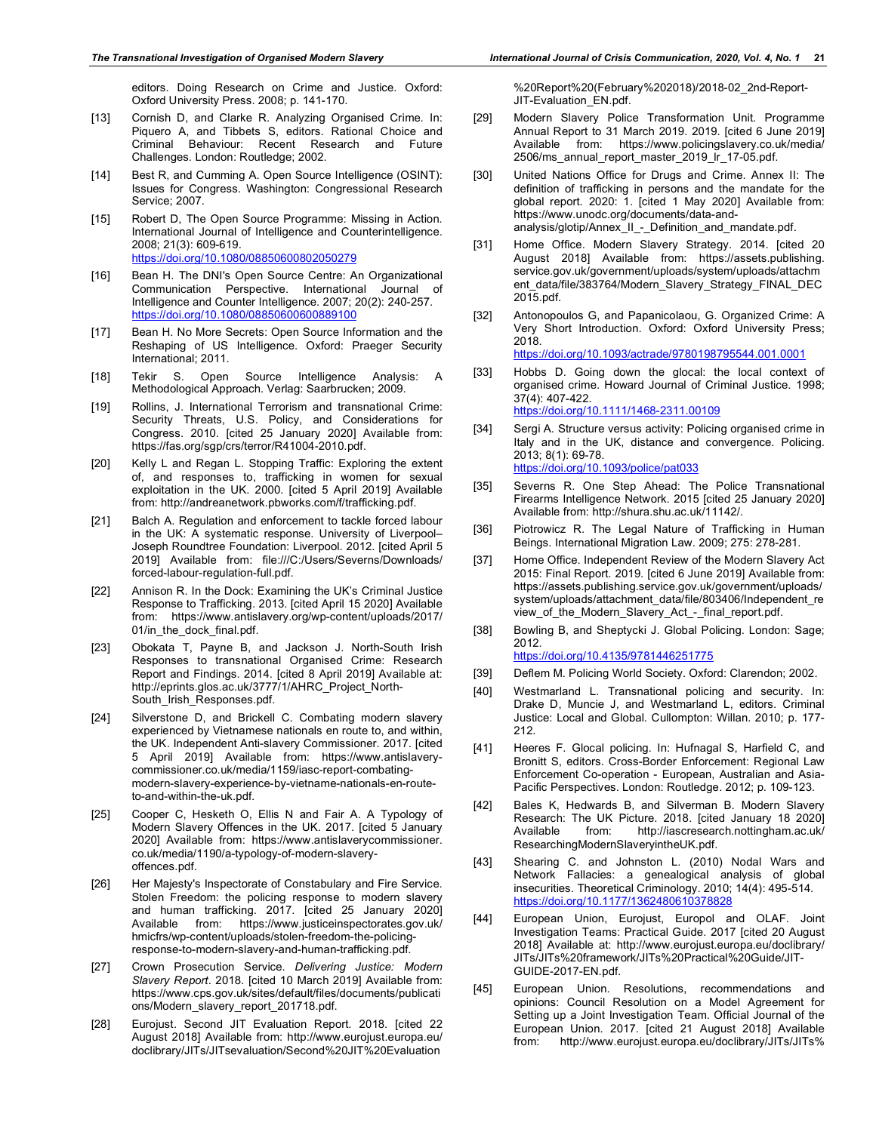editors. Doing Research on Crime and Justice. Oxford: Oxford University Press. 2008; p. 141-170.

- [13] Cornish D, and Clarke R. Analyzing Organised Crime. In: Piquero A, and Tibbets S, editors. Rational Choice and Criminal Behaviour: Recent Research and Future Challenges. London: Routledge; 2002.
- [14] Best R, and Cumming A. Open Source Intelligence (OSINT): Issues for Congress. Washington: Congressional Research Service; 2007.
- [15] Robert D, The Open Source Programme: Missing in Action*.* International Journal of Intelligence and Counterintelligence. 2008; 21(3): 609-619. https://doi.org/10.1080/08850600802050279
- [16] Bean H. The DNI's Open Source Centre: An Organizational Communication Perspective. International Journal of Intelligence and Counter Intelligence. 2007; 20(2): 240-257. https://doi.org/10.1080/08850600600889100
- [17] Bean H. No More Secrets: Open Source Information and the Reshaping of US Intelligence. Oxford: Praeger Security International; 2011.
- [18] Tekir S. Open Source Intelligence Analysis: A Methodological Approach. Verlag: Saarbrucken; 2009.
- [19] Rollins, J. International Terrorism and transnational Crime: Security Threats, U.S. Policy, and Considerations for Congress. 2010. [cited 25 January 2020] Available from: https://fas.org/sgp/crs/terror/R41004-2010.pdf.
- [20] Kelly L and Regan L. Stopping Traffic: Exploring the extent of, and responses to, trafficking in women for sexual exploitation in the UK. 2000. [cited 5 April 2019] Available from: http://andreanetwork.pbworks.com/f/trafficking.pdf.
- [21] Balch A. Regulation and enforcement to tackle forced labour in the UK: A systematic response. University of Liverpool– Joseph Roundtree Foundation: Liverpool. 2012. [cited April 5 2019] Available from: file:///C:/Users/Severns/Downloads/ forced-labour-regulation-full.pdf.
- [22] Annison R. In the Dock: Examining the UK's Criminal Justice Response to Trafficking. 2013. [cited April 15 2020] Available from: https://www.antislavery.org/wp-content/uploads/2017/ 01/in\_the\_dock\_final.pdf.
- [23] Obokata T, Payne B, and Jackson J. North-South Irish Responses to transnational Organised Crime: Research Report and Findings. 2014. [cited 8 April 2019] Available at: http://eprints.glos.ac.uk/3777/1/AHRC\_Project\_North-South\_Irish\_Responses.pdf.
- [24] Silverstone D, and Brickell C. Combating modern slavery experienced by Vietnamese nationals en route to, and within, the UK. Independent Anti-slavery Commissioner. 2017. [cited 5 April 2019] Available from: https://www.antislaverycommissioner.co.uk/media/1159/iasc-report-combatingmodern-slavery-experience-by-vietname-nationals-en-routeto-and-within-the-uk.pdf.
- [25] Cooper C, Hesketh O, Ellis N and Fair A. A Typology of Modern Slavery Offences in the UK. 2017. [cited 5 January 2020] Available from: https://www.antislaverycommissioner. co.uk/media/1190/a-typology-of-modern-slaveryoffences.pdf.
- [26] Her Majesty's Inspectorate of Constabulary and Fire Service. Stolen Freedom: the policing response to modern slavery and human trafficking. 2017. [cited 25 January 2020] Available from: https://www.justiceinspectorates.gov.uk/ hmicfrs/wp-content/uploads/stolen-freedom-the-policingresponse-to-modern-slavery-and-human-trafficking.pdf.
- [27] Crown Prosecution Service. *Delivering Justice: Modern Slavery Report*. 2018. [cited 10 March 2019] Available from: https://www.cps.gov.uk/sites/default/files/documents/publicati ons/Modern\_slavery\_report\_201718.pdf.
- [28] Eurojust. Second JIT Evaluation Report. 2018. [cited 22] August 2018] Available from: http://www.eurojust.europa.eu/ doclibrary/JITs/JITsevaluation/Second%20JIT%20Evaluation

%20Report%20(February%202018)/2018-02\_2nd-Report-JIT-Evaluation\_EN.pdf.

- [29] Modern Slavery Police Transformation Unit. Programme Annual Report to 31 March 2019. 2019. [cited 6 June 2019] Available from: https://www.policingslavery.co.uk/media/ 2506/ms\_annual\_report\_master\_2019\_lr\_17-05.pdf.
- [30] United Nations Office for Drugs and Crime. Annex II: The definition of trafficking in persons and the mandate for the global report. 2020: 1. [cited 1 May 2020] Available from: https://www.unodc.org/documents/data-andanalysis/glotip/Annex\_II\_-\_Definition\_and\_mandate.pdf.
- [31] Home Office. Modern Slavery Strategy. 2014. [cited 20 August 2018] Available from: https://assets.publishing. service.gov.uk/government/uploads/system/uploads/attachm ent\_data/file/383764/Modern\_Slavery\_Strategy\_FINAL\_DEC 2015.pdf.
- [32] Antonopoulos G, and Papanicolaou, G. Organized Crime: A Very Short Introduction. Oxford: Oxford University Press; 2018.

https://doi.org/10.1093/actrade/9780198795544.001.0001

- [33] Hobbs D. Going down the glocal: the local context of organised crime. Howard Journal of Criminal Justice. 1998; 37(4): 407-422. https://doi.org/10.1111/1468-2311.00109
- [34] Sergi A. Structure versus activity: Policing organised crime in Italy and in the UK, distance and convergence. Policing. 2013; 8(1): 69-78. https://doi.org/10.1093/police/pat033
- [35] Severns R. One Step Ahead: The Police Transnational Firearms Intelligence Network. 2015 [cited 25 January 2020] Available from: http://shura.shu.ac.uk/11142/.
- [36] Piotrowicz R. The Legal Nature of Trafficking in Human Beings. International Migration Law. 2009; 275: 278-281.
- [37] Home Office. Independent Review of the Modern Slavery Act 2015: Final Report. 2019. [cited 6 June 2019] Available from: https://assets.publishing.service.gov.uk/government/uploads/ system/uploads/attachment\_data/file/803406/Independent\_re view\_of\_the\_Modern\_Slavery\_Act\_-\_final\_report.pdf.
- [38] Bowling B, and Sheptycki J. Global Policing. London: Sage; 2012.

https://doi.org/10.4135/9781446251775

- [39] Deflem M. Policing World Society. Oxford: Clarendon; 2002.
- [40] Westmarland L. Transnational policing and security. In: Drake D, Muncie J, and Westmarland L, editors. Criminal Justice: Local and Global*.* Cullompton: Willan. 2010; p. 177- 212.
- [41] Heeres F. Glocal policing*.* In: Hufnagal S, Harfield C, and Bronitt S, editors. Cross-Border Enforcement: Regional Law Enforcement Co-operation - European, Australian and Asia-Pacific Perspectives. London: Routledge. 2012; p. 109-123.
- [42] Bales K, Hedwards B, and Silverman B. Modern Slavery Research: The UK Picture. 2018. [cited January 18 2020]<br>Available from: http://jascresearch.nottingham.ac.uk/ http://iascresearch.nottingham.ac.uk/ ResearchingModernSlaveryintheUK.pdf.
- [43] Shearing C. and Johnston L. (2010) Nodal Wars and Network Fallacies: a genealogical analysis of global insecurities. Theoretical Criminology. 2010; 14(4): 495-514. https://doi.org/10.1177/1362480610378828
- [44] European Union, Eurojust, Europol and OLAF. Joint Investigation Teams: Practical Guide. 2017 [cited 20 August 2018] Available at: http://www.eurojust.europa.eu/doclibrary/ JITs/JITs%20framework/JITs%20Practical%20Guide/JIT-GUIDE-2017-EN.pdf.
- [45] European Union. Resolutions, recommendations and opinions: Council Resolution on a Model Agreement for Setting up a Joint Investigation Team. Official Journal of the European Union. 2017. [cited 21 August 2018] Available from: http://www.eurojust.europa.eu/doclibrary/JITs/JITs%